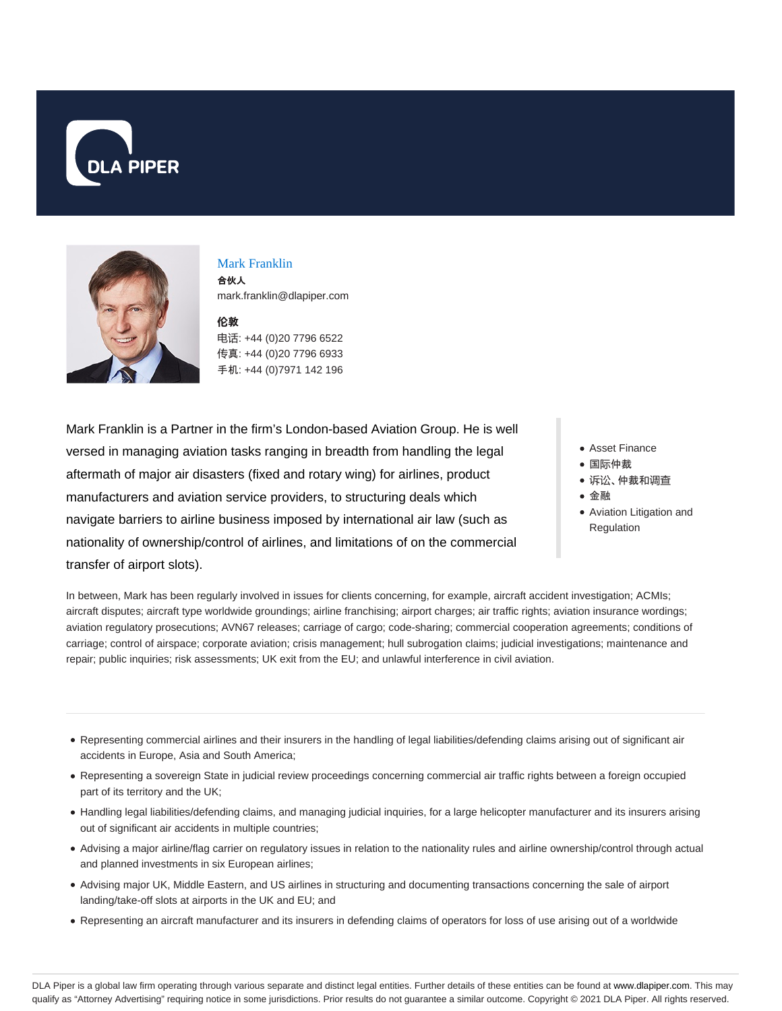



#### Mark Franklin

合伙人 mark.franklin@dlapiper.com

#### **伦**敦

电话: +44 (0)20 7796 6522 传真: +44 (0)20 7796 6933 手机: +44 (0)7971 142 196

Mark Franklin is a Partner in the firm's London-based Aviation Group. He is well versed in managing aviation tasks ranging in breadth from handling the legal aftermath of major air disasters (fixed and rotary wing) for airlines, product manufacturers and aviation service providers, to structuring deals which navigate barriers to airline business imposed by international air law (such as nationality of ownership/control of airlines, and limitations of on the commercial transfer of airport slots).

- Asset Finance
- 国际仲裁
	- 诉讼、仲裁和调查
	- 金融
	- Aviation Litigation and Regulation

In between, Mark has been regularly involved in issues for clients concerning, for example, aircraft accident investigation; ACMIs; aircraft disputes; aircraft type worldwide groundings; airline franchising; airport charges; air traffic rights; aviation insurance wordings; aviation regulatory prosecutions; AVN67 releases; carriage of cargo; code-sharing; commercial cooperation agreements; conditions of carriage; control of airspace; corporate aviation; crisis management; hull subrogation claims; judicial investigations; maintenance and repair; public inquiries; risk assessments; UK exit from the EU; and unlawful interference in civil aviation.

- Representing commercial airlines and their insurers in the handling of legal liabilities/defending claims arising out of significant air accidents in Europe, Asia and South America;
- Representing a sovereign State in judicial review proceedings concerning commercial air traffic rights between a foreign occupied part of its territory and the UK;
- Handling legal liabilities/defending claims, and managing judicial inquiries, for a large helicopter manufacturer and its insurers arising out of significant air accidents in multiple countries;
- Advising a major airline/flag carrier on regulatory issues in relation to the nationality rules and airline ownership/control through actual and planned investments in six European airlines;
- Advising major UK, Middle Eastern, and US airlines in structuring and documenting transactions concerning the sale of airport landing/take-off slots at airports in the UK and EU; and
- Representing an aircraft manufacturer and its insurers in defending claims of operators for loss of use arising out of a worldwide